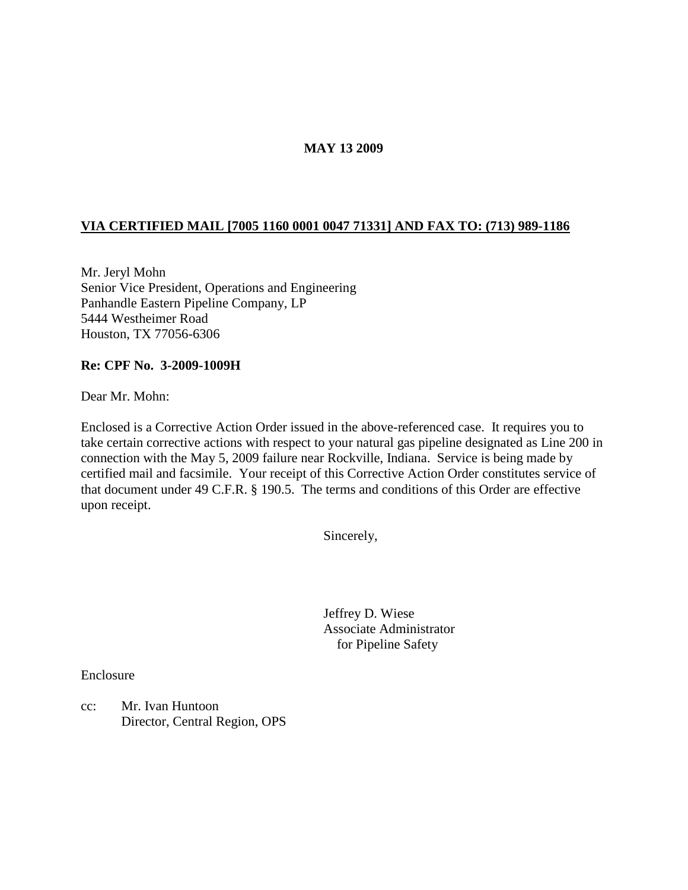## **MAY 13 2009**

# **VIA CERTIFIED MAIL [7005 1160 0001 0047 71331] AND FAX TO: (713) 989-1186**

Mr. Jeryl Mohn Senior Vice President, Operations and Engineering Panhandle Eastern Pipeline Company, LP 5444 Westheimer Road Houston, TX 77056-6306

#### **Re: CPF No. 3-2009-1009H**

Dear Mr. Mohn:

Enclosed is a Corrective Action Order issued in the above-referenced case. It requires you to take certain corrective actions with respect to your natural gas pipeline designated as Line 200 in connection with the May 5, 2009 failure near Rockville, Indiana. Service is being made by certified mail and facsimile. Your receipt of this Corrective Action Order constitutes service of that document under 49 C.F.R. § 190.5. The terms and conditions of this Order are effective upon receipt.

Sincerely,

Jeffrey D. Wiese Associate Administrator for Pipeline Safety

Enclosure

cc: Mr. Ivan Huntoon Director, Central Region, OPS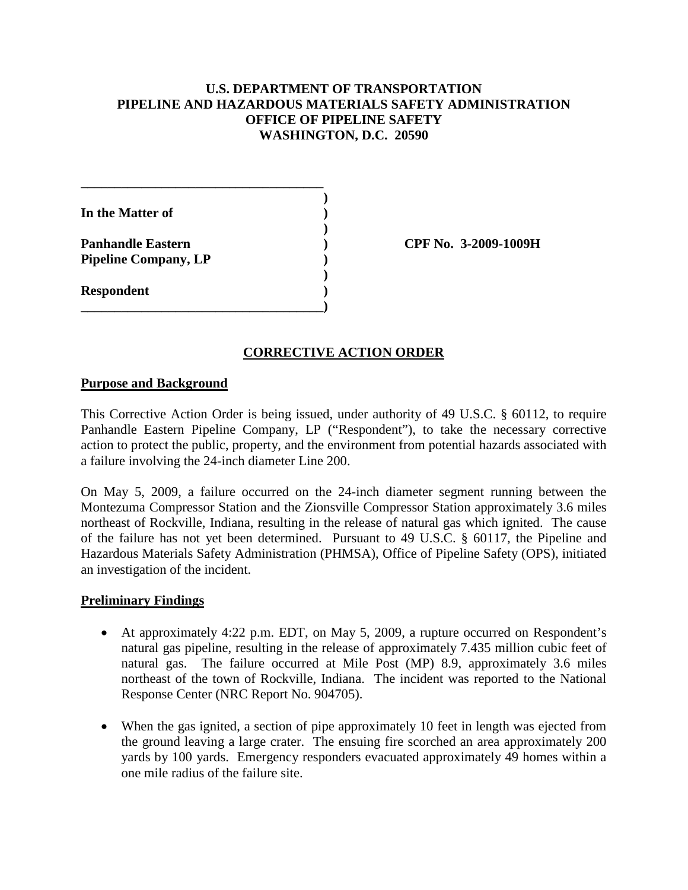# **U.S. DEPARTMENT OF TRANSPORTATION PIPELINE AND HAZARDOUS MATERIALS SAFETY ADMINISTRATION OFFICE OF PIPELINE SAFETY WASHINGTON, D.C. 20590**

| In the Matter of                                        |  |
|---------------------------------------------------------|--|
| <b>Panhandle Eastern</b><br><b>Pipeline Company, LP</b> |  |
| <b>Respondent</b>                                       |  |
|                                                         |  |

**Panhandle Eastern ) CPF No. 3-2009-1009H**

### **CORRECTIVE ACTION ORDER**

#### **Purpose and Background**

This Corrective Action Order is being issued, under authority of 49 U.S.C. § 60112, to require Panhandle Eastern Pipeline Company, LP ("Respondent"), to take the necessary corrective action to protect the public, property, and the environment from potential hazards associated with a failure involving the 24-inch diameter Line 200.

On May 5, 2009, a failure occurred on the 24-inch diameter segment running between the Montezuma Compressor Station and the Zionsville Compressor Station approximately 3.6 miles northeast of Rockville, Indiana, resulting in the release of natural gas which ignited. The cause of the failure has not yet been determined. Pursuant to 49 U.S.C. § 60117, the Pipeline and Hazardous Materials Safety Administration (PHMSA), Office of Pipeline Safety (OPS), initiated an investigation of the incident.

### **Preliminary Findings**

- At approximately 4:22 p.m. EDT, on May 5, 2009, a rupture occurred on Respondent's natural gas pipeline, resulting in the release of approximately 7.435 million cubic feet of natural gas. The failure occurred at Mile Post (MP) 8.9, approximately 3.6 miles northeast of the town of Rockville, Indiana. The incident was reported to the National Response Center (NRC Report No. 904705).
- When the gas ignited, a section of pipe approximately 10 feet in length was ejected from the ground leaving a large crater. The ensuing fire scorched an area approximately 200 yards by 100 yards. Emergency responders evacuated approximately 49 homes within a one mile radius of the failure site.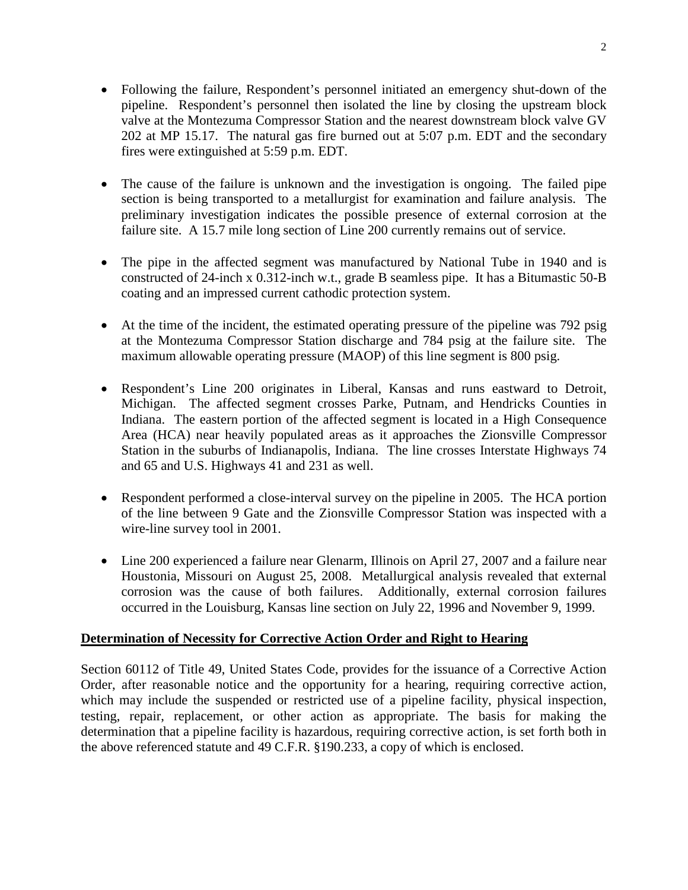- Following the failure, Respondent's personnel initiated an emergency shut-down of the pipeline. Respondent's personnel then isolated the line by closing the upstream block valve at the Montezuma Compressor Station and the nearest downstream block valve GV 202 at MP 15.17. The natural gas fire burned out at 5:07 p.m. EDT and the secondary fires were extinguished at 5:59 p.m. EDT.
- The cause of the failure is unknown and the investigation is ongoing. The failed pipe section is being transported to a metallurgist for examination and failure analysis. The preliminary investigation indicates the possible presence of external corrosion at the failure site. A 15.7 mile long section of Line 200 currently remains out of service.
- The pipe in the affected segment was manufactured by National Tube in 1940 and is constructed of 24-inch x 0.312-inch w.t., grade B seamless pipe. It has a Bitumastic 50-B coating and an impressed current cathodic protection system.
- At the time of the incident, the estimated operating pressure of the pipeline was 792 psig at the Montezuma Compressor Station discharge and 784 psig at the failure site. The maximum allowable operating pressure (MAOP) of this line segment is 800 psig.
- Respondent's Line 200 originates in Liberal, Kansas and runs eastward to Detroit, Michigan. The affected segment crosses Parke, Putnam, and Hendricks Counties in Indiana. The eastern portion of the affected segment is located in a High Consequence Area (HCA) near heavily populated areas as it approaches the Zionsville Compressor Station in the suburbs of Indianapolis, Indiana. The line crosses Interstate Highways 74 and 65 and U.S. Highways 41 and 231 as well.
- Respondent performed a close-interval survey on the pipeline in 2005. The HCA portion of the line between 9 Gate and the Zionsville Compressor Station was inspected with a wire-line survey tool in 2001.
- Line 200 experienced a failure near Glenarm, Illinois on April 27, 2007 and a failure near Houstonia, Missouri on August 25, 2008. Metallurgical analysis revealed that external corrosion was the cause of both failures. Additionally, external corrosion failures occurred in the Louisburg, Kansas line section on July 22, 1996 and November 9, 1999.

### **Determination of Necessity for Corrective Action Order and Right to Hearing**

Section 60112 of Title 49, United States Code, provides for the issuance of a Corrective Action Order, after reasonable notice and the opportunity for a hearing, requiring corrective action, which may include the suspended or restricted use of a pipeline facility, physical inspection, testing, repair, replacement, or other action as appropriate. The basis for making the determination that a pipeline facility is hazardous, requiring corrective action, is set forth both in the above referenced statute and 49 C.F.R. §190.233, a copy of which is enclosed.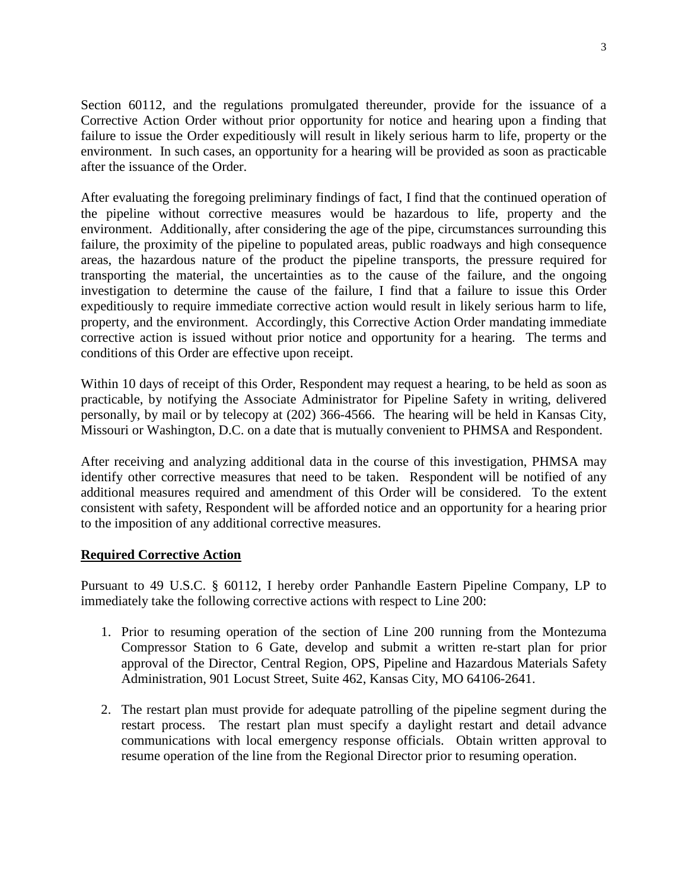Section 60112, and the regulations promulgated thereunder, provide for the issuance of a Corrective Action Order without prior opportunity for notice and hearing upon a finding that failure to issue the Order expeditiously will result in likely serious harm to life, property or the environment. In such cases, an opportunity for a hearing will be provided as soon as practicable after the issuance of the Order.

After evaluating the foregoing preliminary findings of fact, I find that the continued operation of the pipeline without corrective measures would be hazardous to life, property and the environment. Additionally, after considering the age of the pipe, circumstances surrounding this failure, the proximity of the pipeline to populated areas, public roadways and high consequence areas, the hazardous nature of the product the pipeline transports, the pressure required for transporting the material, the uncertainties as to the cause of the failure, and the ongoing investigation to determine the cause of the failure, I find that a failure to issue this Order expeditiously to require immediate corrective action would result in likely serious harm to life, property, and the environment. Accordingly, this Corrective Action Order mandating immediate corrective action is issued without prior notice and opportunity for a hearing. The terms and conditions of this Order are effective upon receipt.

Within 10 days of receipt of this Order, Respondent may request a hearing, to be held as soon as practicable, by notifying the Associate Administrator for Pipeline Safety in writing, delivered personally, by mail or by telecopy at (202) 366-4566. The hearing will be held in Kansas City, Missouri or Washington, D.C. on a date that is mutually convenient to PHMSA and Respondent.

After receiving and analyzing additional data in the course of this investigation, PHMSA may identify other corrective measures that need to be taken. Respondent will be notified of any additional measures required and amendment of this Order will be considered. To the extent consistent with safety, Respondent will be afforded notice and an opportunity for a hearing prior to the imposition of any additional corrective measures.

### **Required Corrective Action**

Pursuant to 49 U.S.C. § 60112, I hereby order Panhandle Eastern Pipeline Company, LP to immediately take the following corrective actions with respect to Line 200:

- 1. Prior to resuming operation of the section of Line 200 running from the Montezuma Compressor Station to 6 Gate, develop and submit a written re-start plan for prior approval of the Director, Central Region, OPS, Pipeline and Hazardous Materials Safety Administration, 901 Locust Street, Suite 462, Kansas City, MO 64106-2641.
- 2. The restart plan must provide for adequate patrolling of the pipeline segment during the restart process. The restart plan must specify a daylight restart and detail advance communications with local emergency response officials. Obtain written approval to resume operation of the line from the Regional Director prior to resuming operation.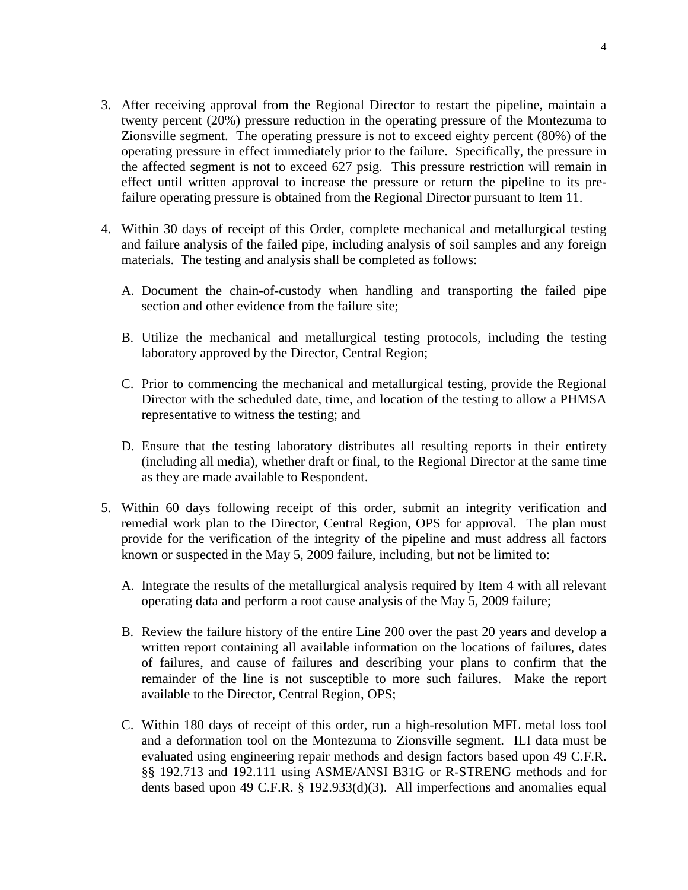- 3. After receiving approval from the Regional Director to restart the pipeline, maintain a twenty percent (20%) pressure reduction in the operating pressure of the Montezuma to Zionsville segment. The operating pressure is not to exceed eighty percent (80%) of the operating pressure in effect immediately prior to the failure. Specifically, the pressure in the affected segment is not to exceed 627 psig. This pressure restriction will remain in effect until written approval to increase the pressure or return the pipeline to its prefailure operating pressure is obtained from the Regional Director pursuant to Item 11.
- 4. Within 30 days of receipt of this Order, complete mechanical and metallurgical testing and failure analysis of the failed pipe, including analysis of soil samples and any foreign materials. The testing and analysis shall be completed as follows:
	- A. Document the chain-of-custody when handling and transporting the failed pipe section and other evidence from the failure site;
	- B. Utilize the mechanical and metallurgical testing protocols, including the testing laboratory approved by the Director, Central Region;
	- C. Prior to commencing the mechanical and metallurgical testing, provide the Regional Director with the scheduled date, time, and location of the testing to allow a PHMSA representative to witness the testing; and
	- D. Ensure that the testing laboratory distributes all resulting reports in their entirety (including all media), whether draft or final, to the Regional Director at the same time as they are made available to Respondent.
- 5. Within 60 days following receipt of this order, submit an integrity verification and remedial work plan to the Director, Central Region, OPS for approval. The plan must provide for the verification of the integrity of the pipeline and must address all factors known or suspected in the May 5, 2009 failure, including, but not be limited to:
	- A. Integrate the results of the metallurgical analysis required by Item 4 with all relevant operating data and perform a root cause analysis of the May 5, 2009 failure;
	- B. Review the failure history of the entire Line 200 over the past 20 years and develop a written report containing all available information on the locations of failures, dates of failures, and cause of failures and describing your plans to confirm that the remainder of the line is not susceptible to more such failures. Make the report available to the Director, Central Region, OPS;
	- C. Within 180 days of receipt of this order, run a high-resolution MFL metal loss tool and a deformation tool on the Montezuma to Zionsville segment. ILI data must be evaluated using engineering repair methods and design factors based upon 49 C.F.R. §§ 192.713 and 192.111 using ASME/ANSI B31G or R-STRENG methods and for dents based upon 49 C.F.R. § 192.933(d)(3). All imperfections and anomalies equal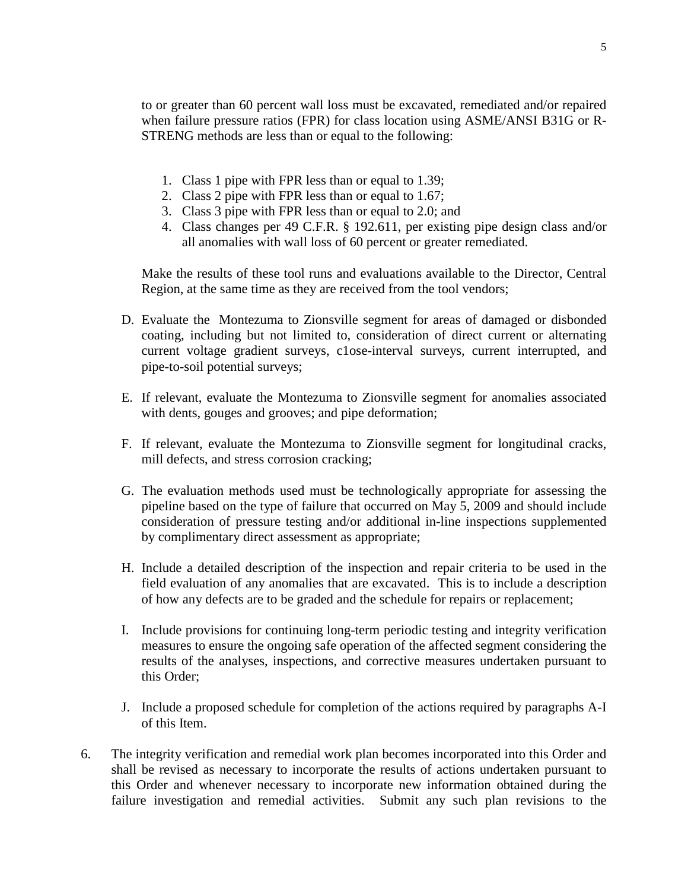to or greater than 60 percent wall loss must be excavated, remediated and/or repaired when failure pressure ratios (FPR) for class location using ASME/ANSI B31G or R-STRENG methods are less than or equal to the following:

- 1. Class 1 pipe with FPR less than or equal to 1.39;
- 2. Class 2 pipe with FPR less than or equal to 1.67;
- 3. Class 3 pipe with FPR less than or equal to 2.0; and
- 4. Class changes per 49 C.F.R. § 192.611, per existing pipe design class and/or all anomalies with wall loss of 60 percent or greater remediated.

Make the results of these tool runs and evaluations available to the Director, Central Region, at the same time as they are received from the tool vendors;

- D. Evaluate the Montezuma to Zionsville segment for areas of damaged or disbonded coating, including but not limited to, consideration of direct current or alternating current voltage gradient surveys, c1ose-interval surveys, current interrupted, and pipe-to-soil potential surveys;
- E. If relevant, evaluate the Montezuma to Zionsville segment for anomalies associated with dents, gouges and grooves; and pipe deformation;
- F. If relevant, evaluate the Montezuma to Zionsville segment for longitudinal cracks, mill defects, and stress corrosion cracking;
- G. The evaluation methods used must be technologically appropriate for assessing the pipeline based on the type of failure that occurred on May 5, 2009 and should include consideration of pressure testing and/or additional in-line inspections supplemented by complimentary direct assessment as appropriate;
- H. Include a detailed description of the inspection and repair criteria to be used in the field evaluation of any anomalies that are excavated. This is to include a description of how any defects are to be graded and the schedule for repairs or replacement;
- I. Include provisions for continuing long-term periodic testing and integrity verification measures to ensure the ongoing safe operation of the affected segment considering the results of the analyses, inspections, and corrective measures undertaken pursuant to this Order;
- J. Include a proposed schedule for completion of the actions required by paragraphs A-I of this Item.
- 6. The integrity verification and remedial work plan becomes incorporated into this Order and shall be revised as necessary to incorporate the results of actions undertaken pursuant to this Order and whenever necessary to incorporate new information obtained during the failure investigation and remedial activities. Submit any such plan revisions to the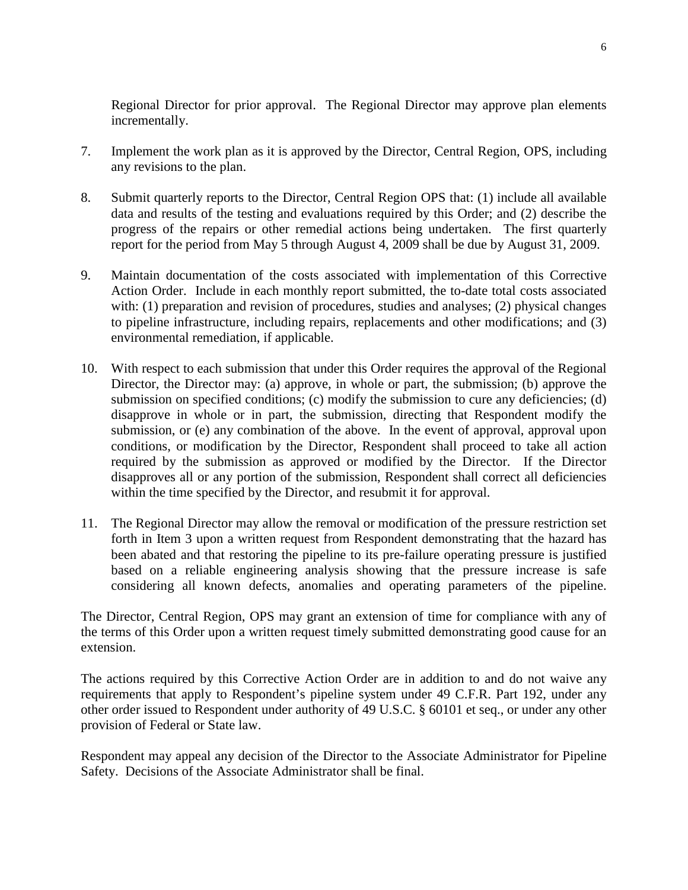Regional Director for prior approval. The Regional Director may approve plan elements incrementally.

- 7. Implement the work plan as it is approved by the Director, Central Region, OPS, including any revisions to the plan.
- 8. Submit quarterly reports to the Director, Central Region OPS that: (1) include all available data and results of the testing and evaluations required by this Order; and (2) describe the progress of the repairs or other remedial actions being undertaken. The first quarterly report for the period from May 5 through August 4, 2009 shall be due by August 31, 2009.
- 9. Maintain documentation of the costs associated with implementation of this Corrective Action Order. Include in each monthly report submitted, the to-date total costs associated with: (1) preparation and revision of procedures, studies and analyses; (2) physical changes to pipeline infrastructure, including repairs, replacements and other modifications; and (3) environmental remediation, if applicable.
- 10. With respect to each submission that under this Order requires the approval of the Regional Director, the Director may: (a) approve, in whole or part, the submission; (b) approve the submission on specified conditions; (c) modify the submission to cure any deficiencies; (d) disapprove in whole or in part, the submission, directing that Respondent modify the submission, or (e) any combination of the above. In the event of approval, approval upon conditions, or modification by the Director, Respondent shall proceed to take all action required by the submission as approved or modified by the Director. If the Director disapproves all or any portion of the submission, Respondent shall correct all deficiencies within the time specified by the Director, and resubmit it for approval.
- 11. The Regional Director may allow the removal or modification of the pressure restriction set forth in Item 3 upon a written request from Respondent demonstrating that the hazard has been abated and that restoring the pipeline to its pre-failure operating pressure is justified based on a reliable engineering analysis showing that the pressure increase is safe considering all known defects, anomalies and operating parameters of the pipeline.

The Director, Central Region, OPS may grant an extension of time for compliance with any of the terms of this Order upon a written request timely submitted demonstrating good cause for an extension.

The actions required by this Corrective Action Order are in addition to and do not waive any requirements that apply to Respondent's pipeline system under 49 C.F.R. Part 192, under any other order issued to Respondent under authority of 49 U.S.C. § 60101 et seq., or under any other provision of Federal or State law.

Respondent may appeal any decision of the Director to the Associate Administrator for Pipeline Safety. Decisions of the Associate Administrator shall be final.